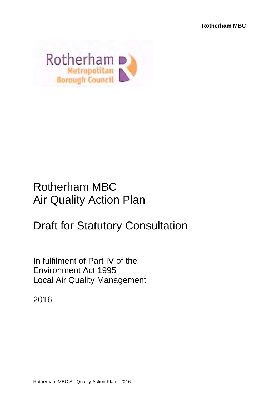

## Rotherham MBC Air Quality Action Plan

# Draft for Statutory Consultation

In fulfilment of Part IV of the Environment Act 1995 Local Air Quality Management

2016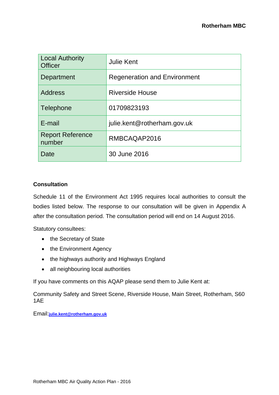| <b>Local Authority</b><br><b>Officer</b> | <b>Julie Kent</b>                   |  |  |  |
|------------------------------------------|-------------------------------------|--|--|--|
| Department                               | <b>Regeneration and Environment</b> |  |  |  |
| <b>Address</b>                           | <b>Riverside House</b>              |  |  |  |
| Telephone                                | 01709823193                         |  |  |  |
| E-mail                                   | julie.kent@rotherham.gov.uk         |  |  |  |
| <b>Report Reference</b><br>number        | RMBCAQAP2016                        |  |  |  |
| Date                                     | 30 June 2016                        |  |  |  |

#### **Consultation**

Schedule 11 of the Environment Act 1995 requires local authorities to consult the bodies listed below. The response to our consultation will be given in Appendix A after the consultation period. The consultation period will end on 14 August 2016.

Statutory consultees:

- the Secretary of State
- the Environment Agency
- the highways authority and Highways England
- all neighbouring local authorities

If you have comments on this AQAP please send them to Julie Kent at:

Community Safety and Street Scene, Riverside House, Main Street, Rotherham, S60 1AE

Email:**julie.kent@rotherham.gov.uk**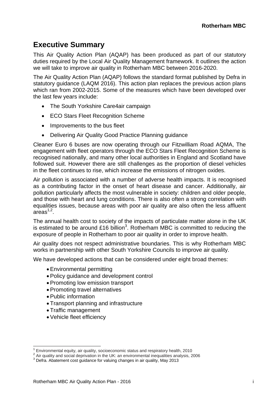### **Executive Summary**

This Air Quality Action Plan (AQAP) has been produced as part of our statutory duties required by the Local Air Quality Management framework. It outlines the action we will take to improve air quality in Rotherham MBC between 2016-2020.

The Air Quality Action Plan (AQAP) follows the standard format published by Defra in statutory guidance (LAQM 2016). This action plan replaces the previous action plans which ran from 2002-2015. Some of the measures which have been developed over the last few years include:

- The South Yorkshire Care4air campaign
- ECO Stars Fleet Recognition Scheme
- Improvements to the bus fleet
- Delivering Air Quality Good Practice Planning guidance

Cleaner Euro 6 buses are now operating through our Fitzwilliam Road AQMA, The engagement with fleet operators through the ECO Stars Fleet Recognition Scheme is recognised nationally, and many other local authorities in England and Scotland have followed suit. However there are still challenges as the proportion of diesel vehicles in the fleet continues to rise, which increase the emissions of nitrogen oxides.

Air pollution is associated with a number of adverse health impacts. It is recognised as a contributing factor in the onset of heart disease and cancer. Additionally, air pollution particularly affects the most vulnerable in society: children and older people, and those with heart and lung conditions. There is also often a strong correlation with equalities issues, because areas with poor air quality are also often the less affluent  $area<sup>1,2</sup>$ .

The annual health cost to society of the impacts of particulate matter alone in the UK is estimated to be around £16 billion<sup>3</sup>. Rotherham MBC is committed to reducing the exposure of people in Rotherham to poor air quality in order to improve health.

Air quality does not respect administrative boundaries. This is why Rotherham MBC works in partnership with other South Yorkshire Councils to improve air quality.

We have developed actions that can be considered under eight broad themes:

- Environmental permitting
- Policy guidance and development control
- Promoting low emission transport
- Promoting travel alternatives
- Public information

 $\overline{a}$ 

- Transport planning and infrastructure
- Traffic management
- Vehicle fleet efficiency

<sup>&</sup>lt;sup>1</sup> Environmental equity, air quality, socioeconomic status and respiratory health, 2010  $^2$  Air qualitiy and social deprivation in the UK: an environmental inequalities analysis, 2006

<sup>&</sup>lt;sup>3</sup> Defra. Abatement cost quidance for valuing changes in air quality, May 2013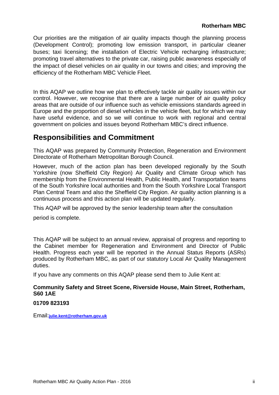Our priorities are the mitigation of air quality impacts though the planning process (Development Control); promoting low emission transport, in particular cleaner buses; taxi licensing; the installation of Electric Vehicle recharging infrastructure; promoting travel alternatives to the private car, raising public awareness especially of the impact of diesel vehicles on air quality in our towns and cities; and improving the efficiency of the Rotherham MBC Vehicle Fleet.

In this AQAP we outline how we plan to effectively tackle air quality issues within our control. However, we recognise that there are a large number of air quality policy areas that are outside of our influence such as vehicle emissions standards agreed in Europe and the proportion of diesel vehicles in the vehicle fleet, but for which we may have useful evidence, and so we will continue to work with regional and central government on policies and issues beyond Rotherham MBC's direct influence.

### **Responsibilities and Commitment**

This AQAP was prepared by Community Protection, Regeneration and Environment Directorate of Rotherham Metropolitan Borough Council.

However, much of the action plan has been developed regionally by the South Yorkshire (now Sheffield City Region) Air Quality and Climate Group which has membership from the Environmental Health, Public Health, and Transportation teams of the South Yorkshire local authorities and from the South Yorkshire Local Transport Plan Central Team and also the Sheffield City Region. Air quality action planning is a continuous process and this action plan will be updated regularly.

This AQAP will be approved by the senior leadership team after the consultation

period is complete.

This AQAP will be subject to an annual review, appraisal of progress and reporting to the Cabinet member for Regeneration and Environment and Director of Public Health. Progress each year will be reported in the Annual Status Reports (ASRs) produced by Rotherham MBC, as part of our statutory Local Air Quality Management duties.

If you have any comments on this AQAP please send them to Julie Kent at:

#### **Community Safety and Street Scene, Riverside House, Main Street, Rotherham, S60 1AE**

#### **01709 823193**

Email:**julie.kent@rotherham.gov.uk**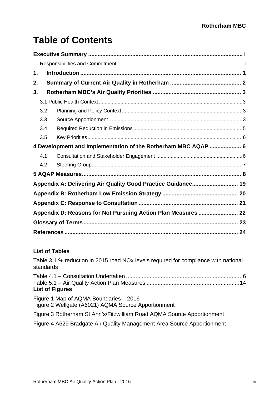## **Table of Contents**

| 1.  |                                                               |  |  |  |  |  |  |
|-----|---------------------------------------------------------------|--|--|--|--|--|--|
| 2.  |                                                               |  |  |  |  |  |  |
| 3.  |                                                               |  |  |  |  |  |  |
|     |                                                               |  |  |  |  |  |  |
| 3.2 |                                                               |  |  |  |  |  |  |
| 3.3 |                                                               |  |  |  |  |  |  |
| 3.4 |                                                               |  |  |  |  |  |  |
| 3.5 |                                                               |  |  |  |  |  |  |
|     | 4 Development and Implementation of the Rotherham MBC AQAP  6 |  |  |  |  |  |  |
| 4.1 |                                                               |  |  |  |  |  |  |
| 4.2 |                                                               |  |  |  |  |  |  |
|     |                                                               |  |  |  |  |  |  |
|     | Appendix A: Delivering Air Quality Good Practice Guidance 19  |  |  |  |  |  |  |
|     |                                                               |  |  |  |  |  |  |
|     |                                                               |  |  |  |  |  |  |
|     |                                                               |  |  |  |  |  |  |
|     |                                                               |  |  |  |  |  |  |
|     |                                                               |  |  |  |  |  |  |

### **List of Tables**

Table 3.1 % reduction in 2015 road NOx levels required for compliance with national standards

| <b>List of Figures</b>                 |  |
|----------------------------------------|--|
| Figure 1 Map of AQMA Boundaries - 2016 |  |

Figure 2 Wellgate (A6021) AQMA Source Apportionment

Figure 3 Rotherham St Ann's/Fitzwilliam Road AQMA Source Apportionment

Figure 4 A629 Bradgate Air Quality Management Area Source Apportionment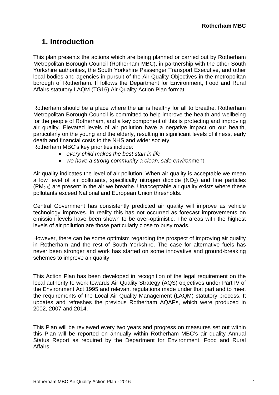### **1. Introduction**

This plan presents the actions which are being planned or carried out by Rotherham Metropolitan Borough Council (Rotherham MBC), in partnership with the other South Yorkshire authorities, the South Yorkshire Passenger Transport Executive, and other local bodies and agencies in pursuit of the Air Quality Objectives in the metropolitan borough of Rotherham. If follows the Department for Environment, Food and Rural Affairs statutory LAQM (TG16) Air Quality Action Plan format.

Rotherham should be a place where the air is healthy for all to breathe. Rotherham Metropolitan Borough Council is committed to help improve the health and wellbeing for the people of Rotherham, and a key component of this is protecting and improving air quality. Elevated levels of air pollution have a negative impact on our health, particularly on the young and the elderly, resulting in significant levels of illness, early death and financial costs to the NHS and wider society.

Rotherham MBC's key priorities include:

- *every child makes the best start in life*
- *we have a strong community a clean, safe environ*ment

Air quality indicates the level of air pollution. When air quality is acceptable we mean a low level of air pollutants, specifically nitrogen dioxide  $(NO<sub>2</sub>)$  and fine particles  $(PM_{2.5})$  are present in the air we breathe. Unacceptable air quality exists where these pollutants exceed National and European Union thresholds.

Central Government has consistently predicted air quality will improve as vehicle technology improves. In reality this has not occurred as forecast improvements on emission levels have been shown to be over-optimistic. The areas with the highest levels of air pollution are those particularly close to busy roads.

However, there can be some optimism regarding the prospect of improving air quality in Rotherham and the rest of South Yorkshire. The case for alternative fuels has never been stronger and work has started on some innovative and ground-breaking schemes to improve air quality.

This Action Plan has been developed in recognition of the legal requirement on the local authority to work towards Air Quality Strategy (AQS) objectives under Part IV of the Environment Act 1995 and relevant regulations made under that part and to meet the requirements of the Local Air Quality Management (LAQM) statutory process. It updates and refreshes the previous Rotherham AQAPs, which were produced in 2002, 2007 and 2014.

This Plan will be reviewed every two years and progress on measures set out within this Plan will be reported on annually within Rotherham MBC's air quality Annual Status Report as required by the Department for Environment, Food and Rural Affairs.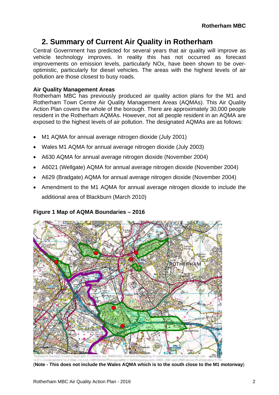### **2. Summary of Current Air Quality in Rotherham**

Central Government has predicted for several years that air quality will improve as vehicle technology improves. In reality this has not occurred as forecast improvements on emission levels, particularly NOx, have been shown to be overoptimistic, particularly for diesel vehicles. The areas with the highest levels of air pollution are those closest to busy roads.

#### **Air Quality Management Areas**

Rotherham MBC has previously produced air quality action plans for the M1 and Rotherham Town Centre Air Quality Management Areas (AQMAs). This Air Quality Action Plan covers the whole of the borough. There are approximately 30,000 people resident in the Rotherham AQMAs. However, not all people resident in an AQMA are exposed to the highest levels of air pollution. The designated AQMAs are as follows:

- M1 AQMA for annual average nitrogen dioxide (July 2001)
- Wales M1 AQMA for annual average nitrogen dioxide (July 2003)
- A630 AQMA for annual average nitrogen dioxide (November 2004)
- A6021 (Wellgate) AQMA for annual average nitrogen dioxide (November 2004)
- A629 (Bradgate) AQMA for annual average nitrogen dioxide (November 2004)
- Amendment to the M1 AQMA for annual average nitrogen dioxide to include the additional area of Blackburn (March 2010)



**Figure 1 Map of AQMA Boundaries – 2016** 

<sup>(</sup>**Note - This does not include the Wales AQMA which is to the south close to the M1 motorway**)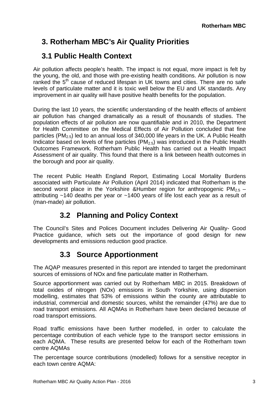### **3. Rotherham MBC's Air Quality Priorities**

### **3.1 Public Health Context**

Air pollution affects people's health. The impact is not equal, more impact is felt by the young, the old, and those with pre-existing health conditions. Air pollution is now ranked the  $5<sup>th</sup>$  cause of reduced lifespan in UK towns and cities. There are no safe levels of particulate matter and it is toxic well below the EU and UK standards. Any improvement in air quality will have positive health benefits for the population.

During the last 10 years, the scientific understanding of the health effects of ambient air pollution has changed dramatically as a result of thousands of studies. The population effects of air pollution are now quantifiable and in 2010, the Department for Health Committee on the Medical Effects of Air Pollution concluded that fine particles ( $PM_{2.5}$ ) led to an annual loss of 340,000 life years in the UK. A Public Health Indicator based on levels of fine particles ( $PM<sub>2.5</sub>$ ) was introduced in the Public Health Outcomes Framework. Rotherham Public Health has carried out a Health Impact Assessment of air quality. This found that there is a link between health outcomes in the borough and poor air quality.

The recent Public Health England Report, Estimating Local Mortality Burdens associated with Particulate Air Pollution (April 2014) indicated that Rotherham is the second worst place in the Yorkshire &Humber region for anthropogenic  $PM_{2.5}$  – attributing ~140 deaths per year or ~1400 years of life lost each year as a result of (man-made) air pollution.

### **3.2 Planning and Policy Context**

The Council's Sites and Polices Document includes Delivering Air Quality- Good Practice guidance, which sets out the importance of good design for new developments and emissions reduction good practice.

### **3.3 Source Apportionment**

The AQAP measures presented in this report are intended to target the predominant sources of emissions of NOx and fine particulate matter in Rotherham.

Source apportionment was carried out by Rotherham MBC in 2015. Breakdown of total oxides of nitrogen (NOx) emissions in South Yorkshire, using dispersion modelling, estimates that 53% of emissions within the county are attributable to industrial, commercial and domestic sources, whilst the remainder (47%) are due to road transport emissions. All AQMAs in Rotherham have been declared because of road transport emissions.

Road traffic emissions have been further modelled, in order to calculate the percentage contribution of each vehicle type to the transport sector emissions in each AQMA. These results are presented below for each of the Rotherham town centre AQMAs

The percentage source contributions (modelled) follows for a sensitive receptor in each town centre AQMA: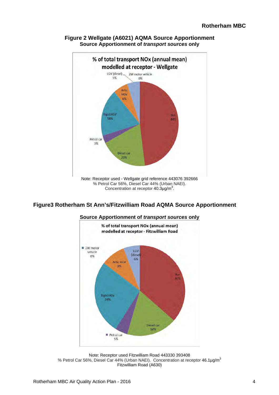

#### **Figure 2 Wellgate (A6021) AQMA Source Apportionment Source Apportionment of** *transport sources* **only**

#### **Figure3 Rotherham St Ann's/Fitzwilliam Road AQMA Source Apportionment**



**Source Apportionment of** *transport sources* **only**

Note: Receptor used Fitzwilliam Road 443330 393408 % Petrol Car 56%, Diesel Car 44% (Urban NAEI). Concentration at receptor  $46.1\mu g/m^3$ Fitzwilliam Road (A630)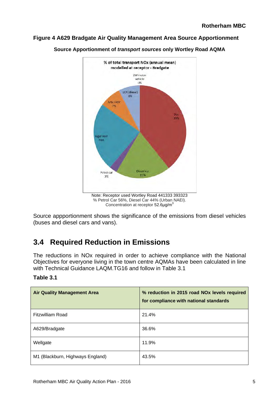#### **Figure 4 A629 Bradgate Air Quality Management Area Source Apportionment**



**Source Apportionment of** *transport sources* **only Wortley Road AQMA**

Source appportionment shows the significance of the emissions from diesel vehicles (buses and diesel cars and vans).

### **3.4 Required Reduction in Emissions**

The reductions in NOx required in order to achieve compliance with the National Objectives for everyone living in the town centre AQMAs have been calculated in line with Technical Guidance LAQM.TG16 and follow in Table 3.1

| <b>Air Quality Management Area</b> | % reduction in 2015 road NOx levels required<br>for compliance with national standards |
|------------------------------------|----------------------------------------------------------------------------------------|
| <b>Fitzwilliam Road</b>            | 21.4%                                                                                  |
| A629/Bradgate                      | 36.6%                                                                                  |
| Wellgate                           | 11.9%                                                                                  |
| M1 (Blackburn, Highways England)   | 43.5%                                                                                  |

#### **Table 3.1**

Concentration at receptor 52.6µg/m<sup>3</sup>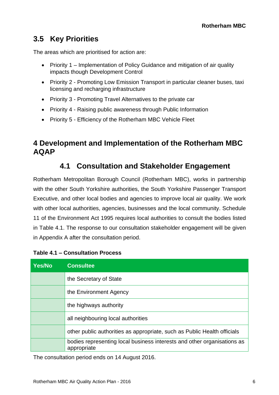### **3.5 Key Priorities**

The areas which are prioritised for action are:

- Priority 1 Implementation of Policy Guidance and mitigation of air quality impacts though Development Control
- Priority 2 Promoting Low Emission Transport in particular cleaner buses, taxi licensing and recharging infrastructure
- Priority 3 Promoting Travel Alternatives to the private car
- Priority 4 Raising public awareness through Public Information
- Priority 5 Efficiency of the Rotherham MBC Vehicle Fleet

### **4 Development and Implementation of the Rotherham MBC AQAP**

### **4.1 Consultation and Stakeholder Engagement**

Rotherham Metropolitan Borough Council (Rotherham MBC), works in partnership with the other South Yorkshire authorities, the South Yorkshire Passenger Transport Executive, and other local bodies and agencies to improve local air quality. We work with other local authorities, agencies, businesses and the local community. Schedule 11 of the Environment Act 1995 requires local authorities to consult the bodies listed in Table 4.1. The response to our consultation stakeholder engagement will be given in Appendix A after the consultation period.

| <b>Yes/No</b> | <b>Consultee</b>                                                                       |
|---------------|----------------------------------------------------------------------------------------|
|               | the Secretary of State                                                                 |
|               | the Environment Agency                                                                 |
|               | the highways authority                                                                 |
|               | all neighbouring local authorities                                                     |
|               | other public authorities as appropriate, such as Public Health officials               |
|               | bodies representing local business interests and other organisations as<br>appropriate |

#### **Table 4.1 ‒ Consultation Process**

The consultation period ends on 14 August 2016.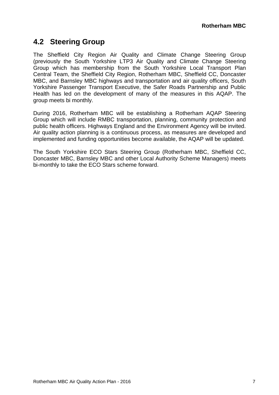### **4.2 Steering Group**

The Sheffield City Region Air Quality and Climate Change Steering Group (previously the South Yorkshire LTP3 Air Quality and Climate Change Steering Group which has membership from the South Yorkshire Local Transport Plan Central Team, the Sheffield City Region, Rotherham MBC, Sheffield CC, Doncaster MBC, and Barnsley MBC highways and transportation and air quality officers, South Yorkshire Passenger Transport Executive, the Safer Roads Partnership and Public Health has led on the development of many of the measures in this AQAP. The group meets bi monthly.

During 2016, Rotherham MBC will be establishing a Rotherham AQAP Steering Group which will include RMBC transportation, planning, community protection and public health officers. Highways England and the Environment Agency will be invited. Air quality action planning is a continuous process, as measures are developed and implemented and funding opportunities become available, the AQAP will be updated.

The South Yorkshire ECO Stars Steering Group (Rotherham MBC, Sheffield CC, Doncaster MBC, Barnsley MBC and other Local Authority Scheme Managers) meets bi-monthly to take the ECO Stars scheme forward.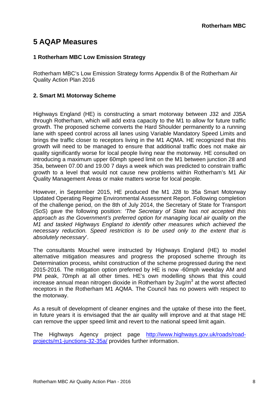### **5 AQAP Measures**

#### **1 Rotherham MBC Low Emission Strategy**

Rotherham MBC's Low Emission Strategy forms Appendix B of the Rotherham Air Quality Action Plan 2016

#### **2. Smart M1 Motorway Scheme**

Highways England (HE) is constructing a smart motorway between J32 and J35A through Rotherham, which will add extra capacity to the M1 to allow for future traffic growth. The proposed scheme converts the Hard Shoulder permanently to a running lane with speed control across all lanes using Variable Mandatory Speed Limits and brings the traffic closer to receptors living in the M1 AQMA. HE recognized that this growth will need to be managed to ensure that additional traffic does not make air quality significantly worse for local people living near the motorway. HE consulted on introducing a maximum upper 60mph speed limit on the M1 between junction 28 and 35a, between 07.00 and 19.00 7 days a week which was predicted to constrain traffic growth to a level that would not cause new problems within Rotherham's M1 Air Quality Management Areas or make matters worse for local people.

However, in September 2015, HE produced the M1 J28 to 35a Smart Motorway Updated Operating Regime Environmental Assessment Report. Following completion of the challenge period, on the 8th of July 2014, the Secretary of State for Transport (SoS) gave the following position: *'The Secretary of State has not accepted this approach as the Government's preferred option for managing local air quality on the M1 and tasked Highways England to identify other measures which achieved the necessary reduction. Speed restriction is to be used only to the extent that is absolutely necessary*'.

The consultants Mouchel were instructed by Highways England (HE) to model alternative mitigation measures and progress the proposed scheme through its Determination process, whilst construction of the scheme progressed during the next 2015-2016. The mitigation option preferred by HE is now -60mph weekday AM and PM peak, 70mph at all other times. HE's own modelling shows that this could increase annual mean nitrogen dioxide in Rotherham by  $2u\overline{g}/m^3$  at the worst affected receptors in the Rotherham M1 AQMA. The Council has no powers with respect to the motorway.

As a result of development of cleaner engines and the uptake of these into the fleet, in future years it is envisaged that the air quality will improve and at that stage HE can remove the upper speed limit and revert to the national speed limit again.

The Highways Agency project page http://www.highways.gov.uk/roads/roadprojects/m1-junctions-32-35a/ provides further information.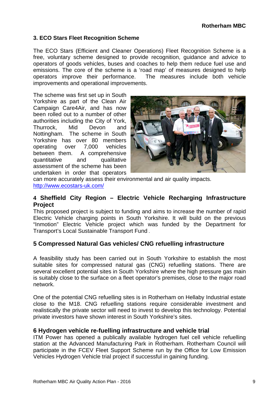#### **3. ECO Stars Fleet Recognition Scheme**

The ECO Stars (Efficient and Cleaner Operations) Fleet Recognition Scheme is a free, voluntary scheme designed to provide recognition, guidance and advice to operators of goods vehicles, buses and coaches to help them reduce fuel use and emissions. The core of the scheme is a 'road map' of measures designed to help operators improve their performance. The measures include both vehicle improvements and operational improvements.

The scheme was first set up in South Yorkshire as part of the Clean Air Campaign Care4Air, and has now been rolled out to a number of other authorities including the City of York, Thurrock, Mid Devon and Nottingham. The scheme in South Yorkshire has over 80 members operating over 7,000 vehicles between them. A comprehensive quantitative and qualitative assessment of the scheme has been undertaken in order that operators



can more accurately assess their environmental and air quality impacts. http://www.ecostars-uk.com/

#### **4 Sheffield City Region – Electric Vehicle Recharging Infrastructure Project**

This proposed project is subject to funding and aims to increase the number of rapid Electric Vehicle charging points in South Yorkshire. It will build on the previous "Inmotion" Electric Vehicle project which was funded by the Department for Transport's Local Sustainable Transport Fund .

#### **5 Compressed Natural Gas vehicles/ CNG refuelling infrastructure**

A feasibility study has been carried out in South Yorkshire to establish the most suitable sites for compressed natural gas (CNG) refuelling stations. There are several excellent potential sites in South Yorkshire where the high pressure gas main is suitably close to the surface on a fleet operator's premises, close to the major road network.

One of the potential CNG refuelling sites is in Rotherham on Hellaby Industrial estate close to the M18. CNG refuelling stations require considerable investment and realistically the private sector will need to invest to develop this technology. Potential private investors have shown interest in South Yorkshire's sites.

#### **6 Hydrogen vehicle re-fuelling infrastructure and vehicle trial**

ITM Power has opened a publically available hydrogen fuel cell vehicle refuelling station at the Advanced Manufacturing Park in Rotherham. Rotherham Council will participate in the FCEV Fleet Support Scheme run by the Office for Low Emission Vehicles Hydrogen Vehicle trial project if successful in gaining funding.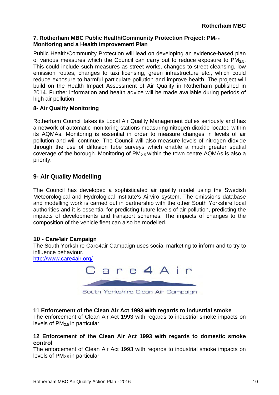#### **7. Rotherham MBC Public Health/Community Protection Project: PM2.5 Monitoring and a Health improvement Plan**

Public Health/Community Protection will lead on developing an evidence-based plan of various measures which the Council can carry out to reduce exposure to  $PM_{2.5}$ . This could include such measures as street works, changes to street cleansing, low emission routes, changes to taxi licensing, green infrastructure etc., which could reduce exposure to harmful particulate pollution and improve health. The project will build on the Health Impact Assessment of Air Quality in Rotherham published in 2014. Further information and health advice will be made available during periods of high air pollution.

#### **8- Air Quality Monitoring**

Rotherham Council takes its Local Air Quality Management duties seriously and has a network of automatic monitoring stations measuring nitrogen dioxide located within its AQMAs. Monitoring is essential in order to measure changes in levels of air pollution and will continue. The Council will also measure levels of nitrogen dioxide through the use of diffusion tube surveys which enable a much greater spatial coverage of the borough. Monitoring of  $PM<sub>2.5</sub>$  within the town centre AQMAs is also a priority.

#### **9- Air Quality Modelling**

The Council has developed a sophisticated air quality model using the Swedish Meteorological and Hydrological Institute's Airviro system. The emissions database and modelling work is carried out in partnership with the other South Yorkshire local authorities and it is essential for predicting future levels of air pollution, predicting the impacts of developments and transport schemes. The impacts of changes to the composition of the vehicle fleet can also be modelled.

#### **10 - Care4air Campaign**

The South Yorkshire Care4air Campaign uses social marketing to inform and to try to influence behaviour.

http://www.care4air.org/



#### **11 Enforcement of the Clean Air Act 1993 with regards to industrial smoke**

The enforcement of Clean Air Act 1993 with regards to industrial smoke impacts on levels of  $PM<sub>2.5</sub>$  in particular.

#### **12 Enforcement of the Clean Air Act 1993 with regards to domestic smoke control**

The enforcement of Clean Air Act 1993 with regards to industrial smoke impacts on levels of  $PM<sub>2.5</sub>$  in particular.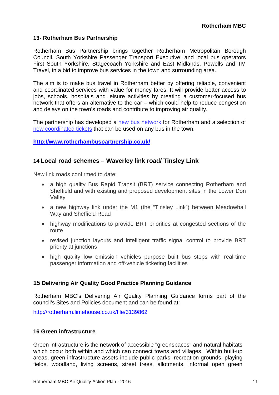#### **13- Rotherham Bus Partnership**

Rotherham Bus Partnership brings together Rotherham Metropolitan Borough Council, South Yorkshire Passenger Transport Executive, and local bus operators First South Yorkshire, Stagecoach Yorkshire and East Midlands, Powells and TM Travel, in a bid to improve bus services in the town and surrounding area.

The aim is to make bus travel in Rotherham better by offering reliable, convenient and coordinated services with value for money fares. It will provide better access to jobs, schools, hospitals and leisure activities by creating a customer-focused bus network that offers an alternative to the car – which could help to reduce congestion and delays on the town's roads and contribute to improving air quality.

The partnership has developed a new bus network for Rotherham and a selection of new coordinated tickets that can be used on any bus in the town.

#### **http://www.rotherhambuspartnership.co.uk/**

#### **14 Local road schemes – Waverley link road/ Tinsley Link**

New link roads confirmed to date:

- a high quality Bus Rapid Transit (BRT) service connecting Rotherham and Sheffield and with existing and proposed development sites in the Lower Don Valley
- a new highway link under the M1 (the "Tinsley Link") between Meadowhall Way and Sheffield Road
- highway modifications to provide BRT priorities at congested sections of the route
- revised junction layouts and intelligent traffic signal control to provide BRT priority at junctions
- high quality low emission vehicles purpose built bus stops with real-time passenger information and off-vehicle ticketing facilities

#### **15 Delivering Air Quality Good Practice Planning Guidance**

Rotherham MBC's Delivering Air Quality Planning Guidance forms part of the council's Sites and Policies document and can be found at:

http://rotherham.limehouse.co.uk/file/3139862

#### **16 Green infrastructure**

Green infrastructure is the network of accessible "greenspaces" and natural habitats which occur both within and which can connect towns and villages. Within built-up areas, green infrastructure assets include public parks, recreation grounds, playing fields, woodland, living screens, street trees, allotments, informal open green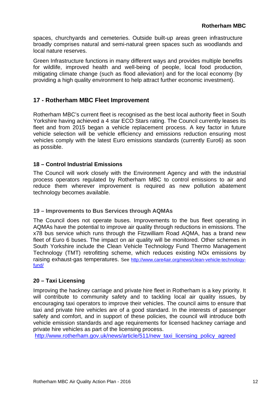spaces, churchyards and cemeteries. Outside built-up areas green infrastructure broadly comprises natural and semi-natural green spaces such as woodlands and local nature reserves.

Green Infrastructure functions in many different ways and provides multiple benefits for wildlife, improved health and well-being of people, local food production, mitigating climate change (such as flood alleviation) and for the local economy (by providing a high quality environment to help attract further economic investment).

#### **17 - Rotherham MBC Fleet Improvement**

Rotherham MBC's current fleet is recognised as the best local authority fleet in South Yorkshire having achieved a 4 star ECO Stars rating. The Council currently leases its fleet and from 2015 began a vehicle replacement process. A key factor in future vehicle selection will be vehicle efficiency and emissions reduction ensuring most vehicles comply with the latest Euro emissions standards (currently Euro6) as soon as possible.

#### **18 – Control Industrial Emissions**

The Council will work closely with the Environment Agency and with the industrial process operators regulated by Rotherham MBC to control emissions to air and reduce them wherever improvement is required as new pollution abatement technology becomes available.

#### **19 – Improvements to Bus Services through AQMAs**

The Council does not operate buses. Improvements to the bus fleet operating in AQMAs have the potential to improve air quality through reductions in emissions. The x78 bus service which runs through the Fitzwilliam Road AQMA, has a brand new fleet of Euro 6 buses. The impact on air quality will be monitored. Other schemes in South Yorkshire include the Clean Vehicle Technology Fund Thermo Management Technology (TMT) retrofitting scheme, which reduces existing NOx emissions by raising exhaust-gas temperatures. See http://www.care4air.org/news/clean-vehicle-technologyfund/

#### **20 – Taxi Licensing**

Improving the hackney carriage and private hire fleet in Rotherham is a key priority. It will contribute to community safety and to tackling local air quality issues, by encouraging taxi operators to improve their vehicles. The council aims to ensure that taxi and private hire vehicles are of a good standard. In the interests of passenger safety and comfort, and in support of these policies, the council will introduce both vehicle emission standards and age requirements for licensed hackney carriage and private hire vehicles as part of the licensing process.

http://www.rotherham.gov.uk/news/article/511/new\_taxi\_licensing\_policy\_agreed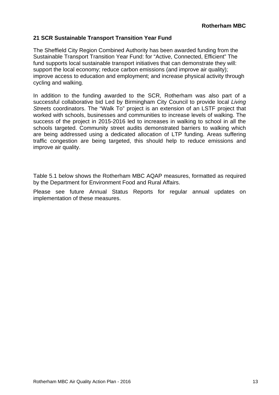#### **21 SCR Sustainable Transport Transition Year Fund**

The Sheffield City Region Combined Authority has been awarded funding from the Sustainable Transport Transition Year Fund: for "Active, Connected, Efficient" The fund supports local sustainable transport initiatives that can demonstrate they will: support the local economy; reduce carbon emissions (and improve air quality); improve access to education and employment; and increase physical activity through cycling and walking.

In addition to the funding awarded to the SCR, Rotherham was also part of a successful collaborative bid Led by Birmingham City Council to provide local *Living Streets* coordinators. The "Walk To" project is an extension of an LSTF project that worked with schools, businesses and communities to increase levels of walking. The success of the project in 2015-2016 led to increases in walking to school in all the schools targeted. Community street audits demonstrated barriers to walking which are being addressed using a dedicated allocation of LTP funding. Areas suffering traffic congestion are being targeted, this should help to reduce emissions and improve air quality.

Table 5.1 below shows the Rotherham MBC AQAP measures, formatted as required by the Department for Environment Food and Rural Affairs.

Please see future Annual Status Reports for regular annual updates on implementation of these measures.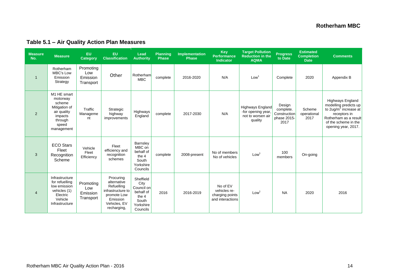#### **Measure** leasure Measure EU EU Lead Planning Implementation Key Target Pollution <sub>Progress</sub> Estimated<br>No. Measure Category Classification Authority Phase Phase Performance Reduction in the forgress Completion<br>Indicator AQMA to 1 Rotherham MBC's Low Emission **Strategy** Promoting Low Emission **Transport Other** Rotherham<br>MBC nternami complete 2016-2020 N/A Low<sup>1</sup> Complete 2020 Appendix B  $\overline{2}$ M1 HE smart motorway scheme Mitigation of air quality impacts through speed management **Traffic**  Manageme nt Strategic highway improvements Highways Highways complete 2017-2030 N/A Highways England -for opening year, not to worsen air quality Design complete. **Construction** phase 2015- 2017 Scheme operational 2017 Highways England modelling predicts up to 2ug/m<sup>3</sup> increase at receptors in Rotherham as a result of the scheme in the opening year, 2017. 3 ECO Stars Fleet Recognition Scheme Vehicle Fleet **Efficiency** Fleet efficiency and recognition schemes **Barnsley** MBC on behalf of the 4 South Yorkshire Councils complete 2008-present  $\begin{array}{|c|c|c|c|c|c|}\n\hline\n\text{Non-going} & \text{No of vehicles} & \text{Low}^1 & \text{100} & \text{On-going}\n\end{array}$  $\overline{4}$ Infrastructure for refuelling low emission vehicles (1) **Electric** Vehicle Infrastructure Promoting Low Emission **Transport** Procuring alternative Refuelling infrastructure to promote Low Emission Vehicles, EV recharging, Sheffield **City** Council on behalf of the 4 South Yorkshire Councils 2016 2016-2019 No of EV vehicles recharging points and interactions Low1 NA 2020 2016

#### **Table 5.1 ‒ Air Quality Action Plan Measures**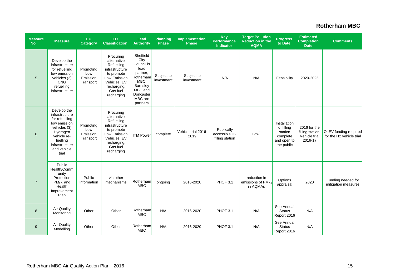| <b>Measure</b><br>No. | <b>Measure</b>                                                                                                                                                   | EU<br><b>Category</b>                     | EU<br><b>Classification</b>                                                                                                                     | Lead<br><b>Authority</b>                                                                                                            | <b>Planning</b><br><b>Phase</b> | Implementation<br><b>Phase</b> | <b>Key</b><br><b>Performance</b><br><b>Indicator</b> | <b>Target Pollution</b><br><b>Reduction in the</b><br><b>AQMA</b> | Progress<br>to Date                                                            | <b>Estimated</b><br><b>Completion</b><br><b>Date</b>         | <b>Comments</b>                                   |
|-----------------------|------------------------------------------------------------------------------------------------------------------------------------------------------------------|-------------------------------------------|-------------------------------------------------------------------------------------------------------------------------------------------------|-------------------------------------------------------------------------------------------------------------------------------------|---------------------------------|--------------------------------|------------------------------------------------------|-------------------------------------------------------------------|--------------------------------------------------------------------------------|--------------------------------------------------------------|---------------------------------------------------|
| 5                     | Develop the<br>infrastructure<br>for refuelling<br>low emission<br>vehicles (2)<br><b>CNG</b><br>refuelling<br>infrastructure                                    | Promoting<br>Low<br>Emission<br>Transport | Procuring<br>alternative<br>Refuelling<br>infrastructure<br>to promote<br>Low Emission<br>Vehicles, EV<br>recharging,<br>Gas fuel<br>recharging | Sheffield<br>City<br>Council is<br>lead<br>partner,<br>Rotherham<br>MBC,<br>Barnsley<br>MBC and<br>Doncaster<br>MBC are<br>partners | Subject to<br>investment        | Subject to<br>investment       | N/A                                                  | N/A                                                               | Feasibility                                                                    | 2020-2025                                                    |                                                   |
| 6                     | Develop the<br>infrastructure<br>for refuelling<br>low emission<br>vehicles (3)<br>Hydrogen<br>vehicle re-<br>fuelling<br>infrastructure<br>and vehicle<br>trial | Promoting<br>Low<br>Emission<br>Transport | Procuring<br>alternative<br>Refuelling<br>infrastructure<br>to promote<br>Low Emission<br>Vehicles, EV<br>recharging,<br>Gas fuel<br>recharging | <b>ITM Power</b>                                                                                                                    | complete                        | Vehicle trial 2016-<br>2019    | Publically<br>accessible H2<br>filling station       | Low <sup>1</sup>                                                  | Installation<br>of filling<br>station<br>complete<br>and open to<br>the public | 2016 for the<br>filling station;<br>Vehicle trial<br>2016-17 | OLEV funding required<br>for the H2 vehicle trial |
| $\overline{7}$        | Public<br>Health/Comm<br>unity<br>Protection<br>$PM2.5$ and<br>Health<br>Improvement<br>Plan                                                                     | Public<br>Information                     | via other<br>mechanisms                                                                                                                         | Rotherham<br><b>MBC</b>                                                                                                             | ongoing                         | 2016-2020                      | PHOF 3.1                                             | reduction in<br>emissions of PM <sub>2.5</sub><br>in AQMAs        | Options<br>appraisal                                                           | 2020                                                         | Funding needed for<br>mitigation measures         |
| 8                     | <b>Air Quality</b><br>Monitoring                                                                                                                                 | Other                                     | Other                                                                                                                                           | Rotherham<br><b>MBC</b>                                                                                                             | N/A                             | 2016-2020                      | PHOF 3.1                                             | N/A                                                               | See Annual<br><b>Status</b><br>Report 2016                                     | N/A                                                          |                                                   |
| 9                     | <b>Air Quality</b><br>Modelling                                                                                                                                  | Other                                     | Other                                                                                                                                           | Rotherham<br><b>MBC</b>                                                                                                             | N/A                             | 2016-2020                      | PHOF 3.1                                             | N/A                                                               | See Annual<br><b>Status</b><br>Report 2016                                     | N/A                                                          |                                                   |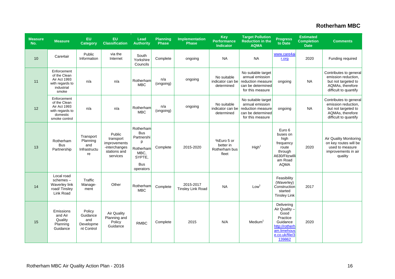| <b>Measure</b><br>No. | <b>Measure</b>                                                                              | <b>EU</b><br><b>Category</b>                         | EU<br><b>Classification</b>                                                      | Lead<br><b>Authority</b>                                                                             | <b>Planning</b><br><b>Phase</b> | Implementation<br><b>Phase</b>        | Key<br><b>Performance</b><br><b>Indicator</b>     | <b>Target Pollution</b><br><b>Reduction in the</b><br><b>AQMA</b>                                   | <b>Progress</b><br>to Date                                                                                               | <b>Estimated</b><br><b>Completion</b><br><b>Date</b> | <b>Comments</b>                                                                                                   |
|-----------------------|---------------------------------------------------------------------------------------------|------------------------------------------------------|----------------------------------------------------------------------------------|------------------------------------------------------------------------------------------------------|---------------------------------|---------------------------------------|---------------------------------------------------|-----------------------------------------------------------------------------------------------------|--------------------------------------------------------------------------------------------------------------------------|------------------------------------------------------|-------------------------------------------------------------------------------------------------------------------|
| 10                    | Care4air                                                                                    | Public<br>Information                                | via the<br>Internet                                                              | South<br>Yorkshire<br>Councils                                                                       | Complete                        | ongoing                               | <b>NA</b>                                         | <b>NA</b>                                                                                           | www.care4ai<br>r.org                                                                                                     | 2020                                                 | Funding required                                                                                                  |
| 11                    | Enforcement<br>of the Clean<br>Air Act 1993<br>with regards to<br>industrial<br>smoke       | n/a                                                  | n/a                                                                              | Rotherham<br><b>MBC</b>                                                                              | n/a<br>(ongoing)                | ongoing                               | No suitable<br>indicator can be<br>determined     | No suitable target<br>annual emission<br>reduction measure<br>can be determined<br>for this measure | ongoing                                                                                                                  | <b>NA</b>                                            | Contributes to general<br>emission reduction,<br>but not targeted to<br>AQMAs, therefore<br>difficult to quantify |
| 12                    | Enforcement<br>of the Clean<br>Air Act 1993<br>with regards to<br>domestic<br>smoke control | n/a                                                  | n/a                                                                              | Rotherham<br><b>MBC</b>                                                                              | n/a<br>(ongoing)                | ongoing                               | No suitable<br>indicator can be<br>determined     | No suitable target<br>annual emission<br>reduction measure<br>can be determined<br>for this measure | ongoing                                                                                                                  | <b>NA</b>                                            | Contributes to general<br>emission reduction,<br>but not targeted to<br>AQMAs, therefore<br>difficult to quantify |
| 13                    | Rotherham<br><b>Bus</b><br>Partnership                                                      | Transport<br>Planning<br>and<br>Infrastructu<br>re   | Public<br>transport<br>improvements<br>-interchanges<br>stations and<br>services | Rotherham<br><b>Bus</b><br>Partnershi<br>р<br>Rotherham<br>MBC,<br>SYPTE,<br><b>Bus</b><br>operators | Complete                        | 2015-2020                             | %Euro 5 or<br>better in<br>Rotherham bus<br>fleet | High <sup>1</sup>                                                                                   | Euro 6<br>buses on<br>high<br>frequency<br>route<br>through<br>A630/Fitzwilli<br>am Road<br><b>AQMA</b>                  | 2020                                                 | Air Quality Monitoring<br>on key routes will be<br>used to measure<br>improvements in air<br>quality              |
| 14                    | Local road<br>$s$ chemes $-$<br><b>Waverley link</b><br>road/Tinsley<br>Link Road           | Traffic<br>Manage-<br>ment                           | Other                                                                            | Rotherham<br><b>MBC</b>                                                                              | Complete                        | 2015-2017<br><b>Tinsley Link Road</b> | <b>NA</b>                                         | Low <sup>1</sup>                                                                                    | Feasibility<br>(Waverley)<br>Construction<br>started<br><b>Tinsley Link</b>                                              | 2017                                                 |                                                                                                                   |
| 15                    | Emissions<br>and Air<br>Quality<br>Planning<br>Guidance                                     | Policy<br>Guidance<br>and<br>Developme<br>nt Control | <b>Air Quality</b><br>Planning and<br>Policy<br>Guidance                         | <b>RMBC</b>                                                                                          | Complete                        | 2015                                  | N/A                                               | Median <sup>1</sup>                                                                                 | Delivering<br>Air Quality -<br>Good<br>Practice<br>Guidance<br>http://rotherh<br>am.limehous<br>e.co.uk/file/3<br>139862 | 2020                                                 |                                                                                                                   |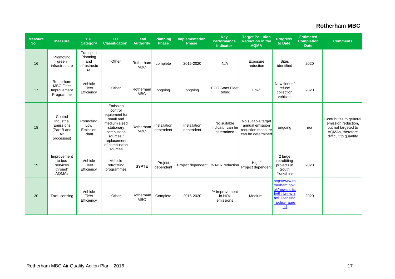| <b>Measure</b><br>No. | <b>Measure</b>                                                        | <b>EU</b><br>Category                              | EU<br><b>Classification</b>                                                                                                                           | Lead<br><b>Authority</b> | <b>Planning</b><br><b>Phase</b> | <b>Implementation</b><br><b>Phase</b>           | <b>Key</b><br><b>Performance</b><br><b>Indicator</b> | <b>Target Pollution</b><br><b>Reduction in the</b><br><b>AQMA</b>               | <b>Progress</b><br>to Date                                                                           | <b>Estimated</b><br><b>Completion</b><br><b>Date</b> | <b>Comments</b>                                                                                                   |
|-----------------------|-----------------------------------------------------------------------|----------------------------------------------------|-------------------------------------------------------------------------------------------------------------------------------------------------------|--------------------------|---------------------------------|-------------------------------------------------|------------------------------------------------------|---------------------------------------------------------------------------------|------------------------------------------------------------------------------------------------------|------------------------------------------------------|-------------------------------------------------------------------------------------------------------------------|
| 16                    | Promoting<br>green<br>infrastructure                                  | Transport<br>Planning<br>and<br>Infrastructu<br>re | Other                                                                                                                                                 | Rotherham<br><b>MBC</b>  | complete                        | 2015-2020                                       | N/A                                                  | Exposure<br>reduction                                                           | <b>Sites</b><br>identified                                                                           | 2020                                                 |                                                                                                                   |
| 17                    | Rotherham<br><b>MBC Fleet</b><br>Improvement<br>Programme             | Vehicle<br>Fleet<br>Efficiency                     | Other                                                                                                                                                 | Rotherham<br><b>MBC</b>  | ongoing                         | ongoing                                         | <b>ECO Stars Fleet</b><br>Rating                     | Low <sup>1</sup>                                                                | New fleet of<br>refuse<br>collection<br>vehicles                                                     | 2020                                                 |                                                                                                                   |
| 18                    | Control<br>Industrial<br>Emissions<br>(Part B and<br>A2<br>processes) | Promoting<br>Low<br>Emission<br>Plant              | Emission<br>control<br>equipment for<br>small and<br>medium sized<br>stationary<br>combustion<br>sources /<br>replacement<br>of combustion<br>sources | Rotherham<br><b>MBC</b>  | Installation<br>dependent       | Installation<br>dependent                       | No suitable<br>indicator can be<br>determined        | No suitable target<br>annual emission<br>reduction measure<br>can be determined | ongoing                                                                                              | n/a                                                  | Contributes to general<br>emission reduction,<br>but not targeted to<br>AQMAs, therefore<br>difficult to quantify |
| 19                    | Improvement<br>to bus<br>services<br>through<br>AQMAs                 | Vehicle<br>Fleet<br>Efficiency                     | Vehicle<br>retrofitting<br>programmes                                                                                                                 | <b>SYPTE</b>             | Project<br>dependent            | Project dependent   % NO <sub>x</sub> reduction |                                                      | High <sup>1</sup><br>Project dependent                                          | 2 large<br>retrofitting<br>projects in<br>South<br>Yorkshire                                         | 2020                                                 |                                                                                                                   |
| 20                    | Taxi licensing                                                        | Vehicle<br>Fleet<br>Efficiency                     | Other                                                                                                                                                 | Rotherham<br><b>MBC</b>  | Complete                        | 2016-2020                                       | % improvement<br>in NO <sub>x</sub><br>emissions     | Medium <sup>1</sup>                                                             | http://www.ro<br>therham.gov.<br>uk/news/artic<br>le/511/new_t<br>axi licensing<br>policy agre<br>ed | 2020                                                 |                                                                                                                   |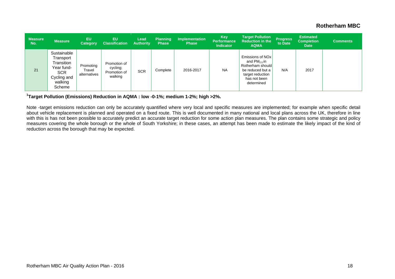| <b>Measure</b><br>No. | <b>Measure</b>                                                                                         | EU<br>Category                      | EU<br><b>Classification</b>                         | Lead<br><b>Authority</b> | <b>Planning</b><br><b>Phase</b> | <b>Implementation</b><br><b>Phase</b> | Key<br><b>Performance</b><br><b>Indicator</b> | <b>Target Pollution</b><br><b>Reduction in the</b><br><b>AQMA</b>                                                              | <b>Progress</b><br>to Date | <b>Estimated</b><br><b>Completion</b><br><b>Date</b> | <b>Comments</b> |
|-----------------------|--------------------------------------------------------------------------------------------------------|-------------------------------------|-----------------------------------------------------|--------------------------|---------------------------------|---------------------------------------|-----------------------------------------------|--------------------------------------------------------------------------------------------------------------------------------|----------------------------|------------------------------------------------------|-----------------|
| 21                    | Sustainable<br>Transport<br>Transition<br>Year fund-<br><b>SCR</b><br>Cycling and<br>walking<br>Scheme | Promoting<br>Travel<br>alternatives | Promotion of<br>cycling;<br>Promotion of<br>walking | <b>SCR</b>               | Complete                        | 2016-2017                             | <b>NA</b>                                     | Emissions of NOx<br>and $PM_{25}$ in<br>Rotherham should<br>be reduced but a<br>target reduction<br>has not been<br>determined | N/A                        | 2017                                                 |                 |

**1Target Pollution (Emissions) Reduction in AQMA : low -0-1%; medium 1-2%; high >2%.** 

Note -target emissions reduction can only be accurately quantified where very local and specific measures are implemented; for example when specific detail about vehicle replacement is planned and operated on a fixed route. This is well documented in many national and local plans across the UK, therefore in line with this is has not been possible to accurately predict an accurate target reduction for some action plan measures. The plan contains some strategic and policy measures covering the whole borough or the whole of South Yorkshire; in these cases, an attempt has been made to estimate the likely impact of the kind of reduction across the borough that may be expected.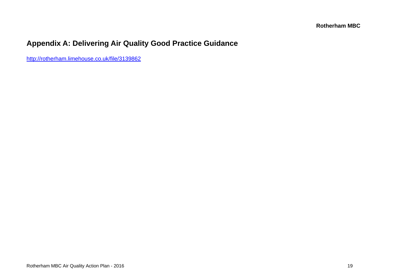### **Appendix A: Delivering Air Quality Good Practice Guidance**

http://rotherham.limehouse.co.uk/file/3139862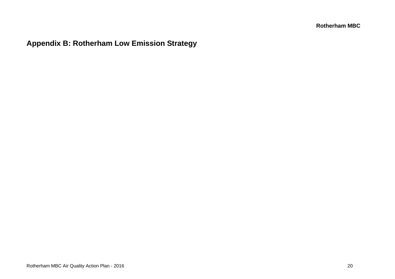**Appendix B: Rotherham Low Emission Strategy**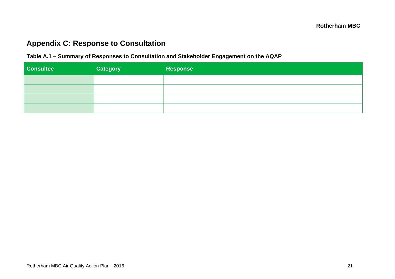### **Appendix C: Response to Consultation**

#### **Table A.1 ‒ Summary of Responses to Consultation and Stakeholder Engagement on the AQAP**

| <b>Consultee</b> | <b>Category</b> | Response |
|------------------|-----------------|----------|
|                  |                 |          |
|                  |                 |          |
|                  |                 |          |
|                  |                 |          |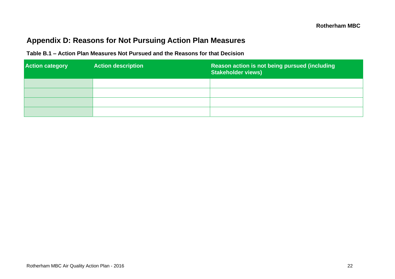### **Appendix D: Reasons for Not Pursuing Action Plan Measures**

| Table B.1 – Action Plan Measures Not Pursued and the Reasons for that Decision |  |  |
|--------------------------------------------------------------------------------|--|--|
|                                                                                |  |  |

| <b>Action category</b> | <b>Action description</b> | Reason action is not being pursued (including<br><b>Stakeholder views)</b> |
|------------------------|---------------------------|----------------------------------------------------------------------------|
|                        |                           |                                                                            |
|                        |                           |                                                                            |
|                        |                           |                                                                            |
|                        |                           |                                                                            |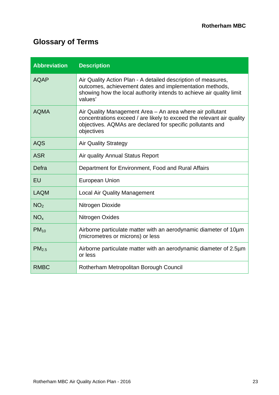## **Glossary of Terms**

| <b>Abbreviation</b> | <b>Description</b>                                                                                                                                                                                             |
|---------------------|----------------------------------------------------------------------------------------------------------------------------------------------------------------------------------------------------------------|
| <b>AQAP</b>         | Air Quality Action Plan - A detailed description of measures,<br>outcomes, achievement dates and implementation methods,<br>showing how the local authority intends to achieve air quality limit<br>values'    |
| <b>AQMA</b>         | Air Quality Management Area – An area where air pollutant<br>concentrations exceed / are likely to exceed the relevant air quality<br>objectives. AQMAs are declared for specific pollutants and<br>objectives |
| <b>AQS</b>          | <b>Air Quality Strategy</b>                                                                                                                                                                                    |
| <b>ASR</b>          | Air quality Annual Status Report                                                                                                                                                                               |
| Defra               | Department for Environment, Food and Rural Affairs                                                                                                                                                             |
| EU                  | <b>European Union</b>                                                                                                                                                                                          |
| <b>LAQM</b>         | <b>Local Air Quality Management</b>                                                                                                                                                                            |
| NO <sub>2</sub>     | Nitrogen Dioxide                                                                                                                                                                                               |
| NO <sub>x</sub>     | Nitrogen Oxides                                                                                                                                                                                                |
| $PM_{10}$           | Airborne particulate matter with an aerodynamic diameter of 10um<br>(micrometres or microns) or less                                                                                                           |
| PM <sub>2.5</sub>   | Airborne particulate matter with an aerodynamic diameter of 2.5µm<br>or less                                                                                                                                   |
| <b>RMBC</b>         | Rotherham Metropolitan Borough Council                                                                                                                                                                         |